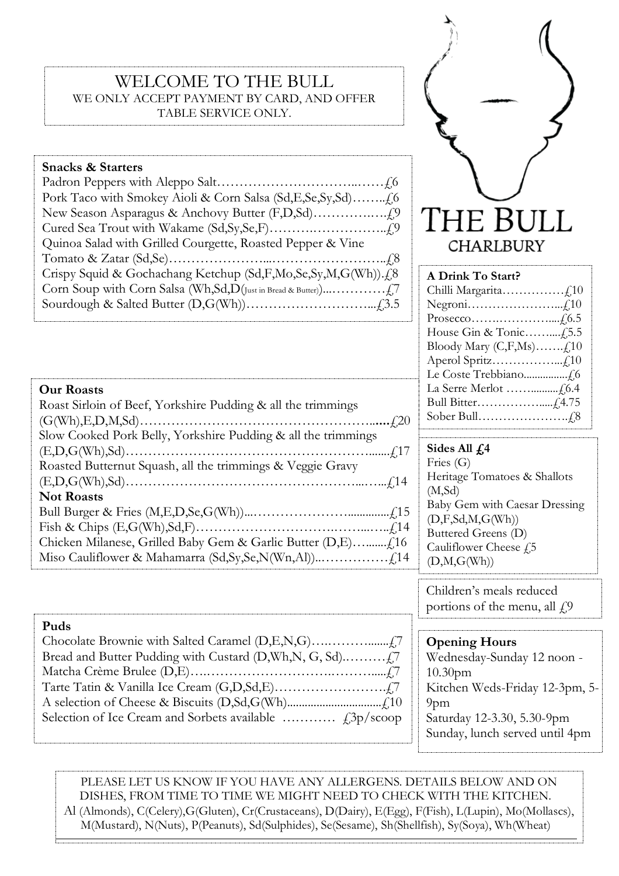# WELCOME TO THE BULL WE ONLY ACCEPT PAYMENT BY CARD, AND OFFER TABLE SERVICE ONLY.

### **Snacks & Starters**

| Quinoa Salad with Grilled Courgette, Roasted Pepper & Vine    |
|---------------------------------------------------------------|
|                                                               |
| Crispy Squid & Gochachang Ketchup (Sd,F,Mo,Se,Sy,M,G(Wh)). (8 |
|                                                               |
|                                                               |
|                                                               |



| A Drink To Start?               |
|---------------------------------|
|                                 |
|                                 |
|                                 |
|                                 |
| Bloody Mary $(C, F, Ms)$ $f$ 10 |
|                                 |
|                                 |
|                                 |
|                                 |
|                                 |
|                                 |

**Sides All £4** Fries (G)

 $(D,F,Sd,M,G(Wh))$ Buttered Greens (D) Cauliflower Cheese  $f$  5

(D,M,G(Wh))

(M,Sd)

## **Our Roasts**

| Roast Sirloin of Beef, Yorkshire Pudding & all the trimmings  |
|---------------------------------------------------------------|
|                                                               |
| Slow Cooked Pork Belly, Yorkshire Pudding & all the trimmings |
|                                                               |
| Roasted Butternut Squash, all the trimmings & Veggie Gravy    |
|                                                               |
| <b>Not Roasts</b>                                             |
|                                                               |
|                                                               |
|                                                               |
|                                                               |
|                                                               |

Children's meals reduced portions of the menu, all  $f$ .9

Heritage Tomatoes & Shallots

Baby Gem with Caesar Dressing

| Puds |                                |
|------|--------------------------------|
|      | <b>Opening Hours</b>           |
|      | Wednesday-Sunday 12 noon -     |
|      | 10.30 <sub>pm</sub>            |
|      | Kitchen Weds-Friday 12-3pm, 5- |
|      | $9$ pm                         |
|      | Saturday 12-3.30, 5.30-9pm     |
|      | Sunday, lunch served until 4pm |

PLEASE LET US KNOW IF YOU HAVE ANY ALLERGENS. DETAILS BELOW AND ON DISHES, FROM TIME TO TIME WE MIGHT NEED TO CHECK WITH THE KITCHEN. Al (Almonds), C(Celery),G(Gluten), Cr(Crustaceans), D(Dairy), E(Egg), F(Fish), L(Lupin), Mo(Mollascs), M(Mustard), N(Nuts), P(Peanuts), Sd(Sulphides), Se(Sesame), Sh(Shellfish), Sy(Soya), Wh(Wheat)